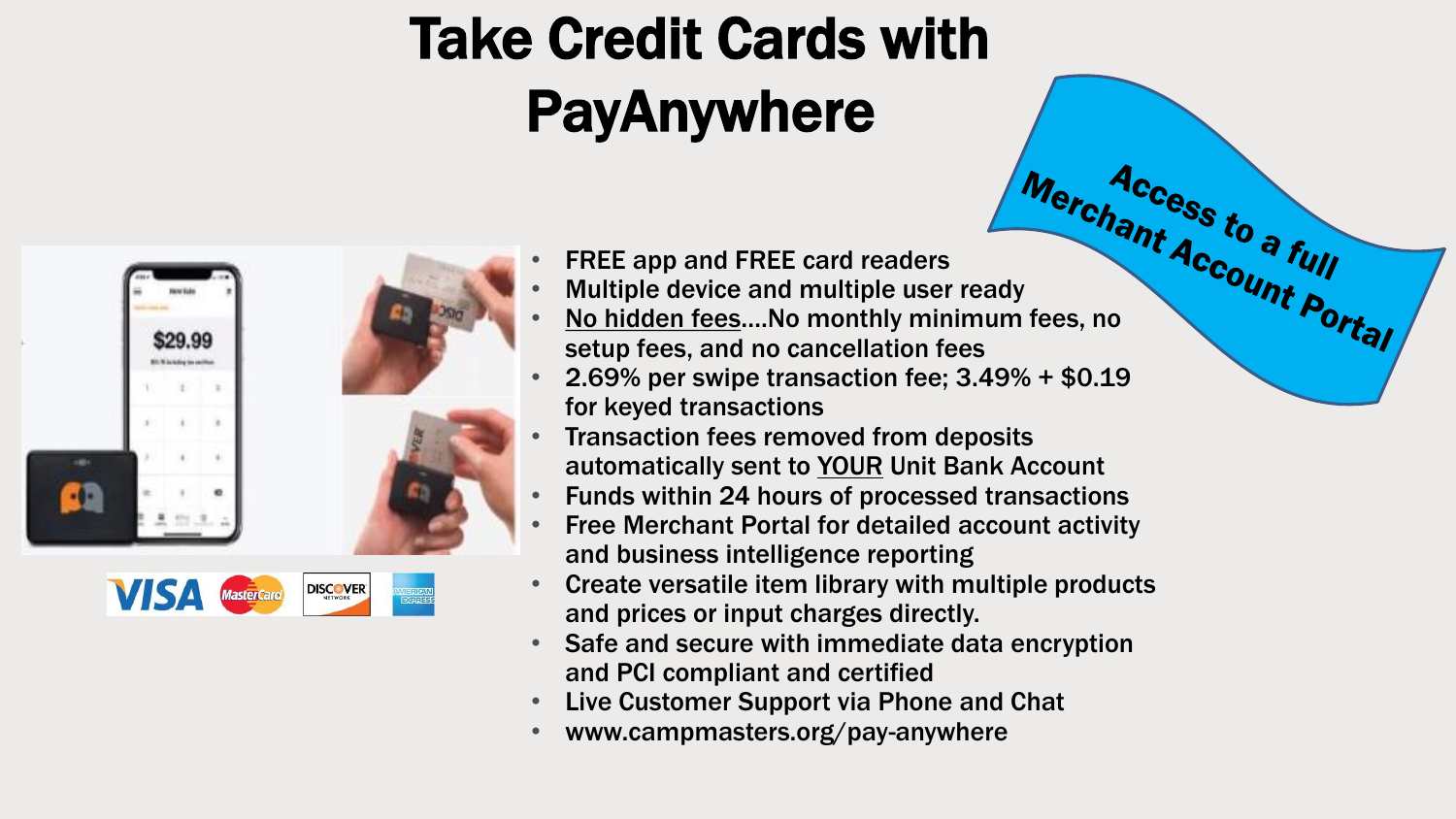## Take Credit Cards with PayAnywhere





- FREE app and FREE card readers
- 
- FREE app and FREE card readers<br>Multiple device and multiple user ready<br>Account Portal No hidden fees....No monthly minimum fees, no setup fees, and no cancellation fees
- 2.69% per swipe transaction fee;  $3.49% + $0.19$ for keyed transactions
- Transaction fees removed from deposits automatically sent to YOUR Unit Bank Account
- Funds within 24 hours of processed transactions
- Free Merchant Portal for detailed account activity and business intelligence reporting
- Create versatile item library with multiple products and prices or input charges directly.
- Safe and secure with immediate data encryption and PCI compliant and certified
- Live Customer Support via Phone and Chat
- www.campmasters.org/pay-anywhere